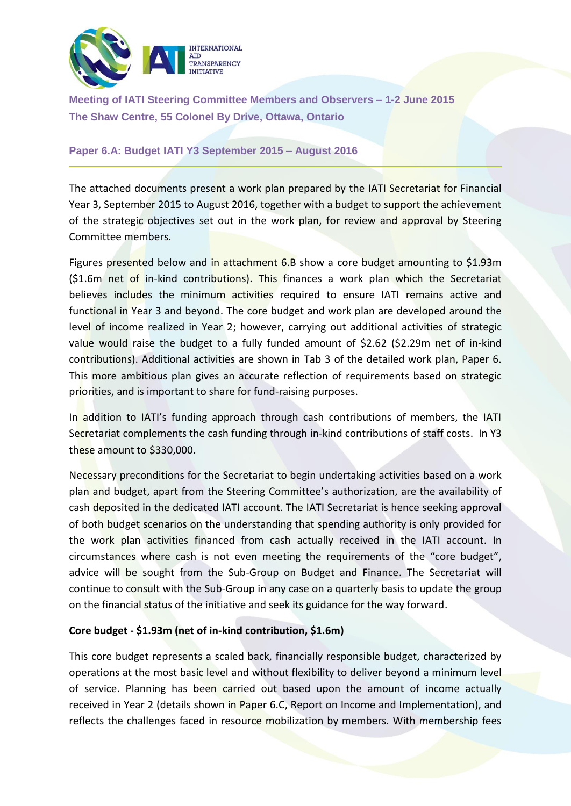

**Meeting of IATI Steering Committee Members and Observers – 1-2 June 2015 The Shaw Centre, 55 Colonel By Drive, Ottawa, Ontario**

#### **Paper 6.A: Budget IATI Y3 September 2015 – August 2016**

The attached documents present a work plan prepared by the IATI Secretariat for Financial Year 3, September 2015 to August 2016, together with a budget to support the achievement of the strategic objectives set out in the work plan, for review and approval by Steering Committee members.

Figures presented below and in attachment 6.B show a core budget amounting to \$1.93m (\$1.6m net of in-kind contributions). This finances a work plan which the Secretariat believes includes the minimum activities required to ensure IATI remains active and functional in Year 3 and beyond. The core budget and work plan are developed around the level of income realized in Year 2; however, carrying out additional activities of strategic value would raise the budget to a fully funded amount of \$2.62 (\$2.29m net of in-kind contributions). Additional activities are shown in Tab 3 of the detailed work plan, Paper 6. This more ambitious plan gives an accurate reflection of requirements based on strategic priorities, and is important to share for fund-raising purposes.

In addition to IATI's funding approach through cash contributions of members, the IATI Secretariat complements the cash funding through in-kind contributions of staff costs. In Y3 these amount to \$330,000.

Necessary preconditions for the Secretariat to begin undertaking activities based on a work plan and budget, apart from the Steering Committee's authorization, are the availability of cash deposited in the dedicated IATI account. The IATI Secretariat is hence seeking approval of both budget scenarios on the understanding that spending authority is only provided for the work plan activities financed from cash actually received in the IATI account. In circumstances where cash is not even meeting the requirements of the "core budget", advice will be sought from the Sub-Group on Budget and Finance. The Secretariat will continue to consult with the Sub-Group in any case on a quarterly basis to update the group on the financial status of the initiative and seek its guidance for the way forward.

## **Core budget - \$1.93m (net of in-kind contribution, \$1.6m)**

This core budget represents a scaled back, financially responsible budget, characterized by operations at the most basic level and without flexibility to deliver beyond a minimum level of service. Planning has been carried out based upon the amount of income actually received in Year 2 (details shown in Paper 6.C, Report on Income and Implementation), and reflects the challenges faced in resource mobilization by members. With membership fees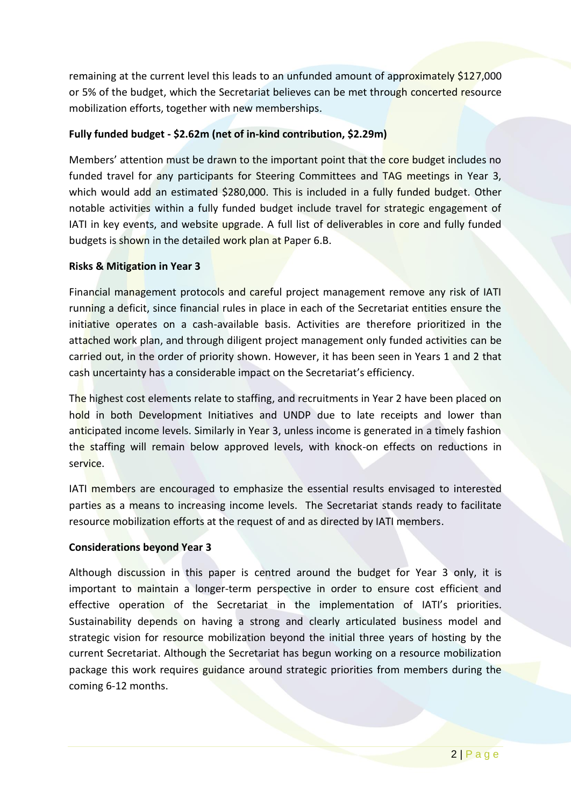remaining at the current level this leads to an unfunded amount of approximately \$127,000 or 5% of the budget, which the Secretariat believes can be met through concerted resource mobilization efforts, together with new memberships.

# **Fully funded budget - \$2.62m (net of in-kind contribution, \$2.29m)**

Members' attention must be drawn to the important point that the core budget includes no funded travel for any participants for Steering Committees and TAG meetings in Year 3, which would add an estimated \$280,000. This is included in a fully funded budget. Other notable activities within a fully funded budget include travel for strategic engagement of IATI in key events, and website upgrade. A full list of deliverables in core and fully funded budgets is shown in the detailed work plan at Paper 6.B.

## **Risks & Mitigation in Year 3**

Financial management protocols and careful project management remove any risk of IATI running a deficit, since financial rules in place in each of the Secretariat entities ensure the initiative operates on a cash-available basis. Activities are therefore prioritized in the attached work plan, and through diligent project management only funded activities can be carried out, in the order of priority shown. However, it has been seen in Years 1 and 2 that cash uncertainty has a considerable impact on the Secretariat's efficiency.

The highest cost elements relate to staffing, and recruitments in Year 2 have been placed on hold in both Development Initiatives and UNDP due to late receipts and lower than anticipated income levels. Similarly in Year 3, unless income is generated in a timely fashion the staffing will remain below approved levels, with knock-on effects on reductions in service.

IATI members are encouraged to emphasize the essential results envisaged to interested parties as a means to increasing income levels. The Secretariat stands ready to facilitate resource mobilization efforts at the request of and as directed by IATI members.

#### **Considerations beyond Year 3**

Although discussion in this paper is centred around the budget for Year 3 only, it is important to maintain a longer-term perspective in order to ensure cost efficient and effective operation of the Secretariat in the implementation of IATI's priorities. Sustainability depends on having a strong and clearly articulated business model and strategic vision for resource mobilization beyond the initial three years of hosting by the current Secretariat. Although the Secretariat has begun working on a resource mobilization package this work requires guidance around strategic priorities from members during the coming 6-12 months.